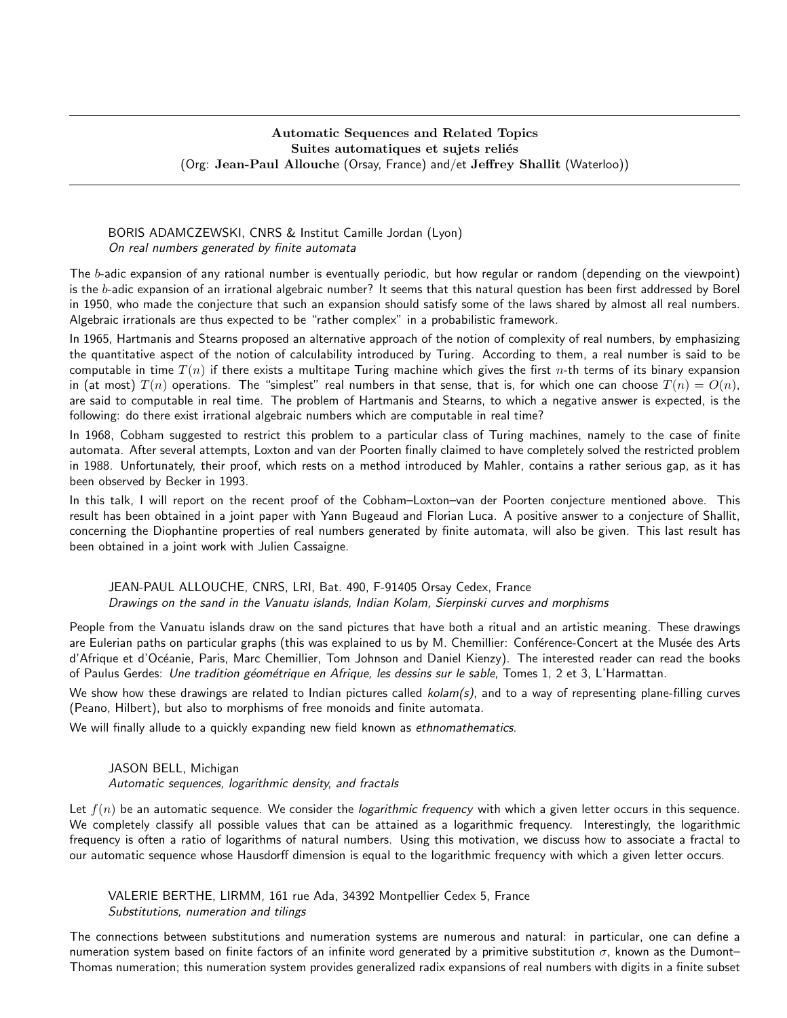#### Automatic Sequences and Related Topics Suites automatiques et sujets reliés (Org: Jean-Paul Allouche (Orsay, France) and/et Jeffrey Shallit (Waterloo))

## BORIS ADAMCZEWSKI, CNRS & Institut Camille Jordan (Lyon) On real numbers generated by finite automata

The b-adic expansion of any rational number is eventually periodic, but how regular or random (depending on the viewpoint) is the  $b$ -adic expansion of an irrational algebraic number? It seems that this natural question has been first addressed by Borel in 1950, who made the conjecture that such an expansion should satisfy some of the laws shared by almost all real numbers. Algebraic irrationals are thus expected to be "rather complex" in a probabilistic framework.

In 1965, Hartmanis and Stearns proposed an alternative approach of the notion of complexity of real numbers, by emphasizing the quantitative aspect of the notion of calculability introduced by Turing. According to them, a real number is said to be computable in time  $T(n)$  if there exists a multitape Turing machine which gives the first n-th terms of its binary expansion in (at most)  $T(n)$  operations. The "simplest" real numbers in that sense, that is, for which one can choose  $T(n) = O(n)$ , are said to computable in real time. The problem of Hartmanis and Stearns, to which a negative answer is expected, is the following: do there exist irrational algebraic numbers which are computable in real time?

In 1968, Cobham suggested to restrict this problem to a particular class of Turing machines, namely to the case of finite automata. After several attempts, Loxton and van der Poorten finally claimed to have completely solved the restricted problem in 1988. Unfortunately, their proof, which rests on a method introduced by Mahler, contains a rather serious gap, as it has been observed by Becker in 1993.

In this talk, I will report on the recent proof of the Cobham–Loxton–van der Poorten conjecture mentioned above. This result has been obtained in a joint paper with Yann Bugeaud and Florian Luca. A positive answer to a conjecture of Shallit, concerning the Diophantine properties of real numbers generated by finite automata, will also be given. This last result has been obtained in a joint work with Julien Cassaigne.

#### JEAN-PAUL ALLOUCHE, CNRS, LRI, Bat. 490, F-91405 Orsay Cedex, France Drawings on the sand in the Vanuatu islands, Indian Kolam, Sierpinski curves and morphisms

People from the Vanuatu islands draw on the sand pictures that have both a ritual and an artistic meaning. These drawings are Eulerian paths on particular graphs (this was explained to us by M. Chemillier: Conférence-Concert at the Musée des Arts d'Afrique et d'Océanie, Paris, Marc Chemillier, Tom Johnson and Daniel Kienzy). The interested reader can read the books of Paulus Gerdes: Une tradition géométrique en Afrique, les dessins sur le sable, Tomes 1, 2 et 3, L'Harmattan.

We show how these drawings are related to Indian pictures called  $kolam(s)$ , and to a way of representing plane-filling curves (Peano, Hilbert), but also to morphisms of free monoids and finite automata.

We will finally allude to a quickly expanding new field known as ethnomathematics.

### JASON BELL, Michigan Automatic sequences, logarithmic density, and fractals

Let  $f(n)$  be an automatic sequence. We consider the *logarithmic frequency* with which a given letter occurs in this sequence. We completely classify all possible values that can be attained as a logarithmic frequency. Interestingly, the logarithmic frequency is often a ratio of logarithms of natural numbers. Using this motivation, we discuss how to associate a fractal to our automatic sequence whose Hausdorff dimension is equal to the logarithmic frequency with which a given letter occurs.

VALERIE BERTHE, LIRMM, 161 rue Ada, 34392 Montpellier Cedex 5, France Substitutions, numeration and tilings

The connections between substitutions and numeration systems are numerous and natural: in particular, one can define a numeration system based on finite factors of an infinite word generated by a primitive substitution  $\sigma$ , known as the Dumont– Thomas numeration; this numeration system provides generalized radix expansions of real numbers with digits in a finite subset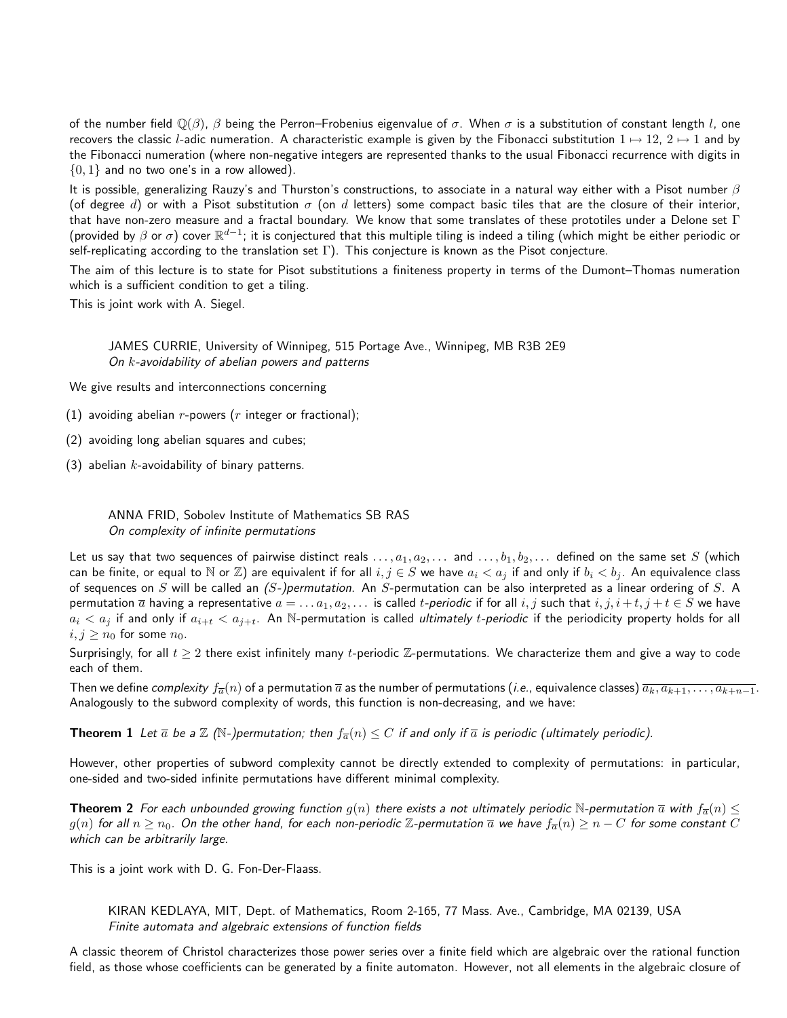of the number field  $\mathbb{Q}(\beta)$ ,  $\beta$  being the Perron–Frobenius eigenvalue of  $\sigma$ . When  $\sigma$  is a substitution of constant length l, one recovers the classic l-adic numeration. A characteristic example is given by the Fibonacci substitution  $1 \mapsto 12$ ,  $2 \mapsto 1$  and by the Fibonacci numeration (where non-negative integers are represented thanks to the usual Fibonacci recurrence with digits in  $\{0, 1\}$  and no two one's in a row allowed).

It is possible, generalizing Rauzy's and Thurston's constructions, to associate in a natural way either with a Pisot number  $\beta$ (of degree d) or with a Pisot substitution  $\sigma$  (on d letters) some compact basic tiles that are the closure of their interior, that have non-zero measure and a fractal boundary. We know that some translates of these prototiles under a Delone set  $\Gamma$ (provided by  $\beta$  or  $\sigma$ ) cover  $\R^{d-1}$ ; it is conjectured that this multiple tiling is indeed a tiling (which might be either periodic or self-replicating according to the translation set  $\Gamma$ ). This conjecture is known as the Pisot conjecture.

The aim of this lecture is to state for Pisot substitutions a finiteness property in terms of the Dumont–Thomas numeration which is a sufficient condition to get a tiling.

This is joint work with A. Siegel.

JAMES CURRIE, University of Winnipeg, 515 Portage Ave., Winnipeg, MB R3B 2E9 On k-avoidability of abelian powers and patterns

We give results and interconnections concerning

- (1) avoiding abelian  $r$ -powers ( $r$  integer or fractional);
- (2) avoiding long abelian squares and cubes;
- (3) abelian  $k$ -avoidability of binary patterns.

ANNA FRID, Sobolev Institute of Mathematics SB RAS On complexity of infinite permutations

Let us say that two sequences of pairwise distinct reals  $\ldots, a_1, a_2, \ldots$  and  $\ldots, b_1, b_2, \ldots$  defined on the same set S (which can be finite, or equal to N or Z) are equivalent if for all  $i, j \in S$  we have  $a_i < a_j$  if and only if  $b_i < b_j$ . An equivalence class of sequences on S will be called an  $(S-)permutation$ . An S-permutation can be also interpreted as a linear ordering of S. A permutation  $\overline{a}$  having a representative  $a = \ldots a_1, a_2, \ldots$  is called *t-periodic* if for all  $i, j$  such that  $i, j, i + t, j + t \in S$  we have  $a_i < a_j$  if and only if  $a_{i+t} < a_{j+t}$ . An N-permutation is called *ultimately t-periodic* if the periodicity property holds for all  $i, j \geq n_0$  for some  $n_0$ .

Surprisingly, for all  $t \geq 2$  there exist infinitely many t-periodic Z-permutations. We characterize them and give a way to code each of them.

Then we define complexity  $f_{\overline{a}}(n)$  of a permutation  $\overline{a}$  as the number of permutations (*i.e.*, equivalence classes)  $\overline{a_k, a_{k+1}, \ldots, a_{k+n-1}}$ . Analogously to the subword complexity of words, this function is non-decreasing, and we have:

**Theorem 1** Let  $\bar{a}$  be a  $\mathbb{Z}$  (N-)permutation; then  $f_{\bar{a}}(n) \leq C$  if and only if  $\bar{a}$  is periodic (ultimately periodic).

However, other properties of subword complexity cannot be directly extended to complexity of permutations: in particular, one-sided and two-sided infinite permutations have different minimal complexity.

**Theorem 2** For each unbounded growing function  $g(n)$  there exists a not ultimately periodic N-permutation  $\bar{a}$  with  $f_{\bar{a}}(n) \leq$  $g(n)$  for all  $n \geq n_0$ . On the other hand, for each non-periodic Z-permutation  $\overline{a}$  we have  $f_{\overline{a}}(n) \geq n - C$  for some constant C which can be arbitrarily large.

This is a joint work with D. G. Fon-Der-Flaass.

KIRAN KEDLAYA, MIT, Dept. of Mathematics, Room 2-165, 77 Mass. Ave., Cambridge, MA 02139, USA Finite automata and algebraic extensions of function fields

A classic theorem of Christol characterizes those power series over a finite field which are algebraic over the rational function field, as those whose coefficients can be generated by a finite automaton. However, not all elements in the algebraic closure of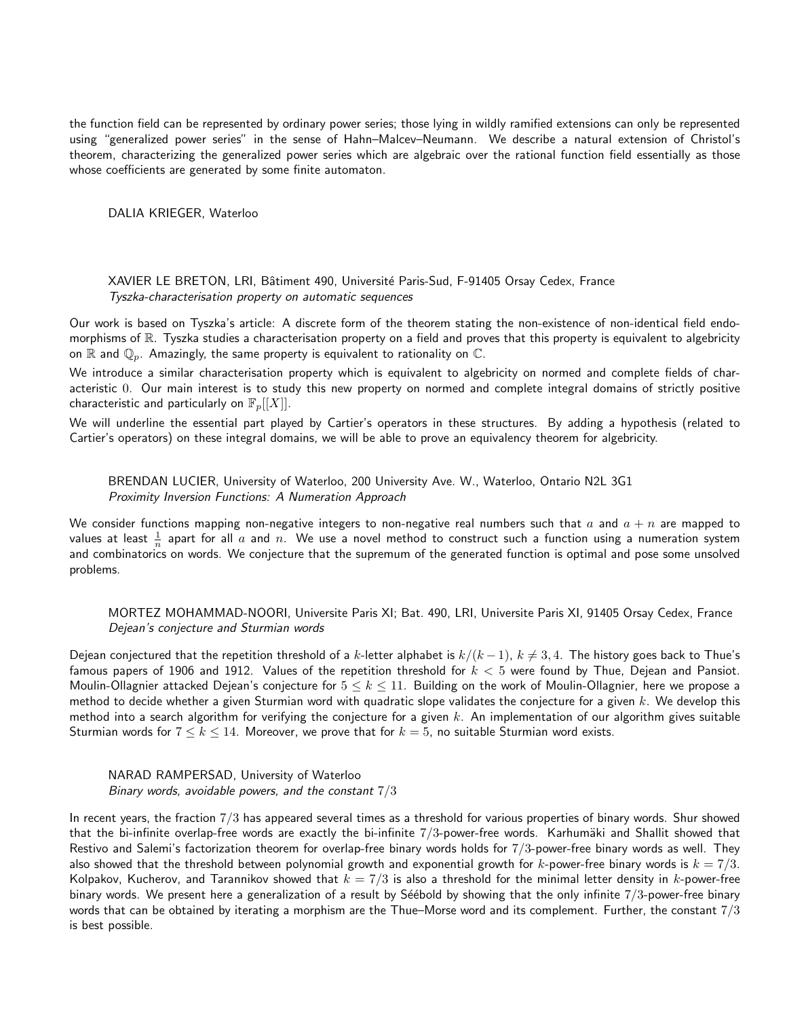the function field can be represented by ordinary power series; those lying in wildly ramified extensions can only be represented using "generalized power series" in the sense of Hahn–Malcev–Neumann. We describe a natural extension of Christol's theorem, characterizing the generalized power series which are algebraic over the rational function field essentially as those whose coefficients are generated by some finite automaton.

DALIA KRIEGER, Waterloo

XAVIER LE BRETON, LRI, Bâtiment 490, Université Paris-Sud, F-91405 Orsay Cedex, France Tyszka-characterisation property on automatic sequences

Our work is based on Tyszka's article: A discrete form of the theorem stating the non-existence of non-identical field endomorphisms of R. Tyszka studies a characterisation property on a field and proves that this property is equivalent to algebricity on  $\mathbb R$  and  $\mathbb Q_p$ . Amazingly, the same property is equivalent to rationality on  $\mathbb C$ .

We introduce a similar characterisation property which is equivalent to algebricity on normed and complete fields of characteristic 0. Our main interest is to study this new property on normed and complete integral domains of strictly positive characteristic and particularly on  $\mathbb{F}_p[[X]]$ .

We will underline the essential part played by Cartier's operators in these structures. By adding a hypothesis (related to Cartier's operators) on these integral domains, we will be able to prove an equivalency theorem for algebricity.

BRENDAN LUCIER, University of Waterloo, 200 University Ave. W., Waterloo, Ontario N2L 3G1 Proximity Inversion Functions: A Numeration Approach

We consider functions mapping non-negative integers to non-negative real numbers such that a and  $a + n$  are mapped to values at least  $\frac{1}{n}$  apart for all  $a$  and  $n.$  We use a novel method to construct such a function using a numeration system and combinatorics on words. We conjecture that the supremum of the generated function is optimal and pose some unsolved problems.

MORTEZ MOHAMMAD-NOORI, Universite Paris XI; Bat. 490, LRI, Universite Paris XI, 91405 Orsay Cedex, France Dejean's conjecture and Sturmian words

Dejean conjectured that the repetition threshold of a k-letter alphabet is  $k/(k-1)$ ,  $k \neq 3, 4$ . The history goes back to Thue's famous papers of 1906 and 1912. Values of the repetition threshold for  $k < 5$  were found by Thue, Dejean and Pansiot. Moulin-Ollagnier attacked Dejean's conjecture for  $5 \leq k \leq 11$ . Building on the work of Moulin-Ollagnier, here we propose a method to decide whether a given Sturmian word with quadratic slope validates the conjecture for a given  $k$ . We develop this method into a search algorithm for verifying the conjecture for a given  $k$ . An implementation of our algorithm gives suitable Sturmian words for  $7 \leq k \leq 14$ . Moreover, we prove that for  $k=5$ , no suitable Sturmian word exists.

NARAD RAMPERSAD, University of Waterloo Binary words, avoidable powers, and the constant  $7/3$ 

In recent years, the fraction 7/3 has appeared several times as a threshold for various properties of binary words. Shur showed that the bi-infinite overlap-free words are exactly the bi-infinite  $7/3$ -power-free words. Karhumäki and Shallit showed that Restivo and Salemi's factorization theorem for overlap-free binary words holds for 7/3-power-free binary words as well. They also showed that the threshold between polynomial growth and exponential growth for k-power-free binary words is  $k = 7/3$ . Kolpakov, Kucherov, and Tarannikov showed that  $k = 7/3$  is also a threshold for the minimal letter density in k-power-free binary words. We present here a generalization of a result by Séébold by showing that the only infinite  $7/3$ -power-free binary words that can be obtained by iterating a morphism are the Thue–Morse word and its complement. Further, the constant  $7/3$ is best possible.